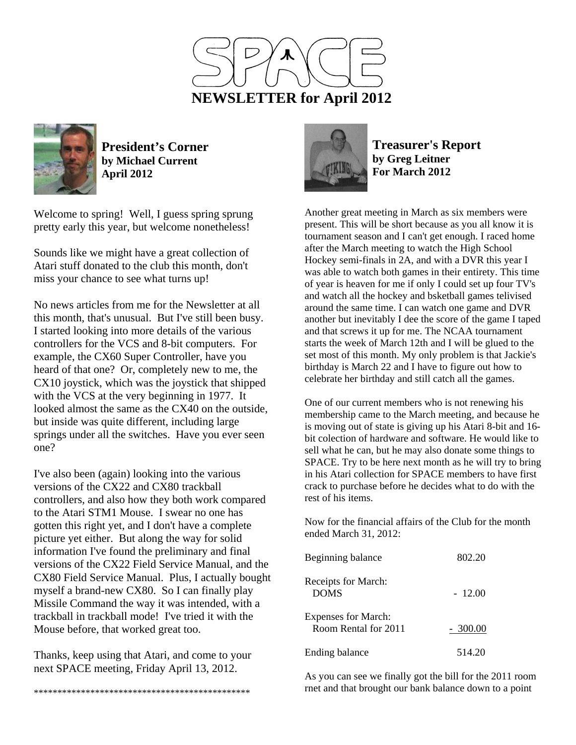



**President's Corner by Michael Current April 2012**

Welcome to spring! Well, I guess spring sprung pretty early this year, but welcome nonetheless!

Sounds like we might have a great collection of Atari stuff donated to the club this month, don't miss your chance to see what turns up!

No news articles from me for the Newsletter at all this month, that's unusual. But I've still been busy. I started looking into more details of the various controllers for the VCS and 8-bit computers. For example, the CX60 Super Controller, have you heard of that one? Or, completely new to me, the CX10 joystick, which was the joystick that shipped with the VCS at the very beginning in 1977. It looked almost the same as the CX40 on the outside, but inside was quite different, including large springs under all the switches. Have you ever seen one?

I've also been (again) looking into the various versions of the CX22 and CX80 trackball controllers, and also how they both work compared to the Atari STM1 Mouse. I swear no one has gotten this right yet, and I don't have a complete picture yet either. But along the way for solid information I've found the preliminary and final versions of the CX22 Field Service Manual, and the CX80 Field Service Manual. Plus, I actually bought myself a brand-new CX80. So I can finally play Missile Command the way it was intended, with a trackball in trackball mode! I've tried it with the Mouse before, that worked great too.

Thanks, keep using that Atari, and come to your next SPACE meeting, Friday April 13, 2012.



**Treasurer's Report by Greg Leitner For March 2012** 

Another great meeting in March as six members were present. This will be short because as you all know it is tournament season and I can't get enough. I raced home after the March meeting to watch the High School Hockey semi-finals in 2A, and with a DVR this year I was able to watch both games in their entirety. This time of year is heaven for me if only I could set up four TV's and watch all the hockey and bsketball games telivised around the same time. I can watch one game and DVR another but inevitably I dee the score of the game I taped and that screws it up for me. The NCAA tournament starts the week of March 12th and I will be glued to the set most of this month. My only problem is that Jackie's birthday is March 22 and I have to figure out how to celebrate her birthday and still catch all the games.

One of our current members who is not renewing his membership came to the March meeting, and because he is moving out of state is giving up his Atari 8-bit and 16 bit colection of hardware and software. He would like to sell what he can, but he may also donate some things to SPACE. Try to be here next month as he will try to bring in his Atari collection for SPACE members to have first crack to purchase before he decides what to do with the rest of his items.

Now for the financial affairs of the Club for the month ended March 31, 2012:

| Beginning balance                                  | 802.20    |
|----------------------------------------------------|-----------|
| Receipts for March:<br><b>DOMS</b>                 | $-12.00$  |
| <b>Expenses for March:</b><br>Room Rental for 2011 | $-300.00$ |
| Ending balance                                     | 514.20    |

As you can see we finally got the bill for the 2011 room rnet and that brought our bank balance down to a point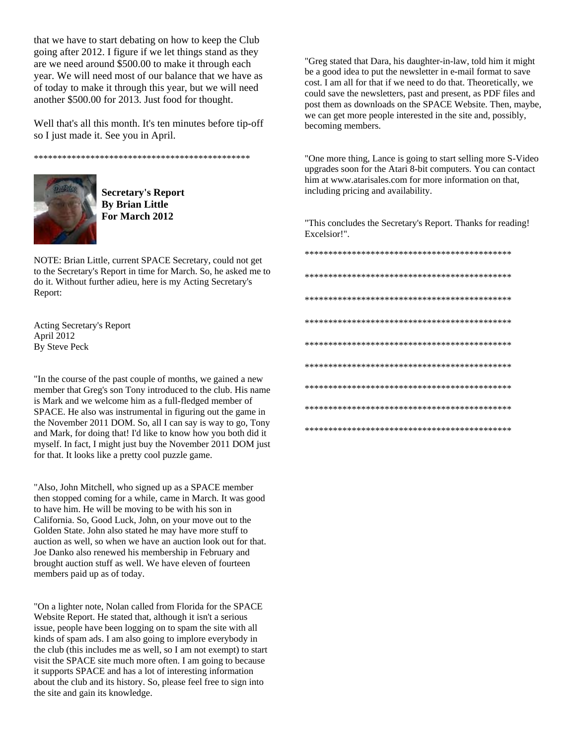that we have to start debating on how to keep the Club going after 2012. I figure if we let things stand as they are we need around \$500.00 to make it through each year. We will need most of our balance that we have as of today to make it through this year, but we will need another \$500.00 for 2013. Just food for thought.

Well that's all this month. It's ten minutes before tip-off so I just made it. See you in April.

\*\*\*\*\*\*\*\*\*\*\*\*\*\*\*\*\*\*\*\*\*\*\*\*\*\*\*\*\*\*\*\*\*\*\*\*\*\*\*\*\*\*\*\*\*\*



**Secretary's Report By Brian Little For March 2012** 

NOTE: Brian Little, current SPACE Secretary, could not get to the Secretary's Report in time for March. So, he asked me to do it. Without further adieu, here is my Acting Secretary's Report:

Acting Secretary's Report April 2012 By Steve Peck

"In the course of the past couple of months, we gained a new member that Greg's son Tony introduced to the club. His name is Mark and we welcome him as a full-fledged member of SPACE. He also was instrumental in figuring out the game in the November 2011 DOM. So, all I can say is way to go, Tony and Mark, for doing that! I'd like to know how you both did it myself. In fact, I might just buy the November 2011 DOM just for that. It looks like a pretty cool puzzle game.

"Also, John Mitchell, who signed up as a SPACE member then stopped coming for a while, came in March. It was good to have him. He will be moving to be with his son in California. So, Good Luck, John, on your move out to the Golden State. John also stated he may have more stuff to auction as well, so when we have an auction look out for that. Joe Danko also renewed his membership in February and brought auction stuff as well. We have eleven of fourteen members paid up as of today.

"On a lighter note, Nolan called from Florida for the SPACE Website Report. He stated that, although it isn't a serious issue, people have been logging on to spam the site with all kinds of spam ads. I am also going to implore everybody in the club (this includes me as well, so I am not exempt) to start visit the SPACE site much more often. I am going to because it supports SPACE and has a lot of interesting information about the club and its history. So, please feel free to sign into the site and gain its knowledge.

"Greg stated that Dara, his daughter-in-law, told him it might be a good idea to put the newsletter in e-mail format to save cost. I am all for that if we need to do that. Theoretically, we could save the newsletters, past and present, as PDF files and post them as downloads on the SPACE Website. Then, maybe, we can get more people interested in the site and, possibly, becoming members.

"One more thing, Lance is going to start selling more S-Video upgrades soon for the Atari 8-bit computers. You can contact him at www.atarisales.com for more information on that, including pricing and availability.

"This concludes the Secretary's Report. Thanks for reading! Excelsior!".